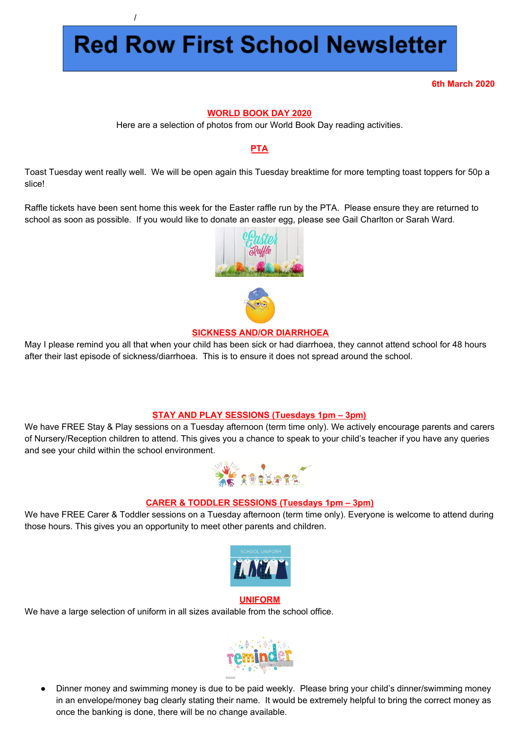# **Red Row First School Newsletter**

/

**6th March 2020**

### **WORLD BOOK DAY 2020**

Here are a selection of photos from our World Book Day reading activities.

## **PTA**

Toast Tuesday went really well. We will be open again this Tuesday breaktime for more tempting toast toppers for 50p a slice!

Raffle tickets have been sent home this week for the Easter raffle run by the PTA. Please ensure they are returned to school as soon as possible. If you would like to donate an easter egg, please see Gail Charlton or Sarah Ward.



### **SICKNESS AND/OR DIARRHOEA**

May I please remind you all that when your child has been sick or had diarrhoea, they cannot attend school for 48 hours after their last episode of sickness/diarrhoea. This is to ensure it does not spread around the school.

### **STAY AND PLAY SESSIONS (Tuesdays 1pm – 3pm)**

We have FREE Stay & Play sessions on a Tuesday afternoon (term time only). We actively encourage parents and carers of Nursery/Reception children to attend. This gives you a chance to speak to your child's teacher if you have any queries and see your child within the school environment.



### **CARER & TODDLER SESSIONS (Tuesdays 1pm – 3pm)**

We have FREE Carer & Toddler sessions on a Tuesday afternoon (term time only). Everyone is welcome to attend during those hours. This gives you an opportunity to meet other parents and children.



#### **UNIFORM**

We have a large selection of uniform in all sizes available from the school office.



Dinner money and swimming money is due to be paid weekly. Please bring your child's dinner/swimming money in an envelope/money bag clearly stating their name. It would be extremely helpful to bring the correct money as once the banking is done, there will be no change available.